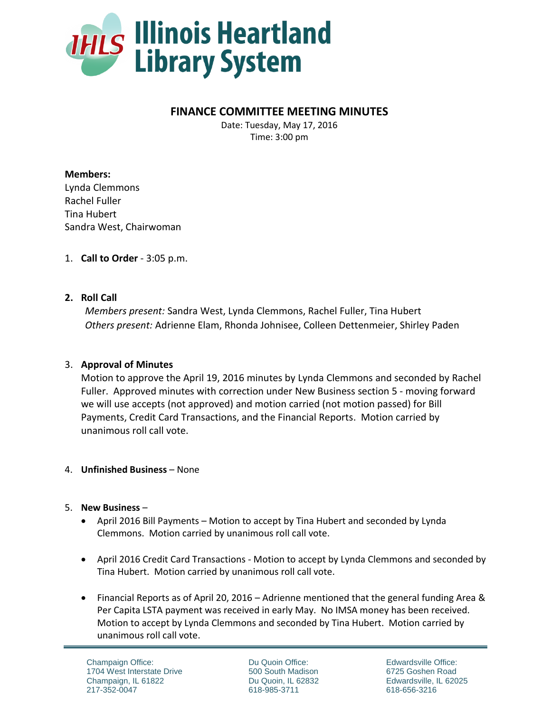

# **FINANCE COMMITTEE MEETING MINUTES**

Date: Tuesday, May 17, 2016 Time: 3:00 pm

**Members:** Lynda Clemmons Rachel Fuller Tina Hubert Sandra West, Chairwoman

1. **Call to Order** - 3:05 p.m.

### **2. Roll Call**

*Members present:* Sandra West, Lynda Clemmons, Rachel Fuller, Tina Hubert *Others present:* Adrienne Elam, Rhonda Johnisee, Colleen Dettenmeier, Shirley Paden

## 3. **Approval of Minutes**

Motion to approve the April 19, 2016 minutes by Lynda Clemmons and seconded by Rachel Fuller. Approved minutes with correction under New Business section 5 - moving forward we will use accepts (not approved) and motion carried (not motion passed) for Bill Payments, Credit Card Transactions, and the Financial Reports. Motion carried by unanimous roll call vote.

### 4. **Unfinished Business** – None

### 5. **New Business** –

- April 2016 Bill Payments Motion to accept by Tina Hubert and seconded by Lynda Clemmons. Motion carried by unanimous roll call vote.
- April 2016 Credit Card Transactions Motion to accept by Lynda Clemmons and seconded by Tina Hubert. Motion carried by unanimous roll call vote.
- Financial Reports as of April 20, 2016 Adrienne mentioned that the general funding Area & Per Capita LSTA payment was received in early May. No IMSA money has been received. Motion to accept by Lynda Clemmons and seconded by Tina Hubert. Motion carried by unanimous roll call vote.

Champaign Office: 1704 West Interstate Drive Champaign, IL 61822 217-352-0047

Du Quoin Office: 500 South Madison Du Quoin, IL 62832 618-985-3711

Edwardsville Office: 6725 Goshen Road Edwardsville, IL 62025 618-656-3216